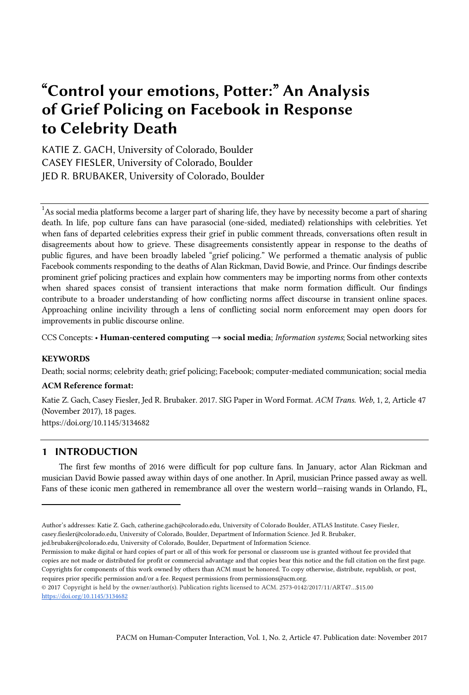# **"Control your emotions, Potter: " An Analysis of Grief Policing on Facebook in Response to Celebrity Death**

KATIE Z. GACH, University of Colorado, Boulder CASEY FIESLER, University of Colorado, Boulder JED R. BRUBAKER, University of Colorado, Boulder

 $<sup>1</sup>$ As social media platforms become a larger part of sharing life, they have by necessity become a part of sharing</sup> death. In life, pop culture fans can have parasocial (one-sided, mediated) relationships with celebrities. Yet when fans of departed celebrities express their grief in public comment threads, conversations often result in disagreements about how to grieve. These disagreements consistently appear in response to the deaths of public figures, and have been broadly labeled "grief policing." We performed a thematic analysis of public Facebook comments responding to the deaths of Alan Rickman, David Bowie, and Prince. Our findings describe prominent grief policing practices and explain how commenters may be importing norms from other contexts when shared spaces consist of transient interactions that make norm formation difficult. Our findings contribute to a broader understanding of how conflicting norms affect discourse in transient online spaces. Approaching online incivility through a lens of conflicting social norm enforcement may open doors for improvements in public discourse online.

CCS Concepts: • **Human-centered computing → social media**; *Information systems*; Social networking sites

#### **KEYWORDS**

 $\overline{\phantom{a}}$ 

Death; social norms; celebrity death; grief policing; Facebook; computer-mediated communication; social media

### **ACM Reference format:**

Katie Z. Gach, Casey Fiesler, Jed R. Brubaker. 2017. SIG Paper in Word Format. *ACM Trans. Web,* 1, 2, Article 47 (November 2017), 18 pages. https://doi.org/10.1145/3134682

#### **1 INTRODUCTION**

The first few months of 2016 were difficult for pop culture fans. In January, actor Alan Rickman and musician David Bowie passed away within days of one another. In April, musician Prince passed away as well. Fans of these iconic men gathered in remembrance all over the western world—raising wands in Orlando, FL,

Permission to make digital or hard copies of part or all of this work for personal or classroom use is granted without fee provided that copies are not made or distributed for profit or commercial advantage and that copies bear this notice and the full citation on the first page. Copyrights for components of this work owned by others than ACM must be honored. To copy otherwise, distribute, republish, or post, requires prior specific permission and/or a fee. Request permissions from permissions@acm.org.

Author's addresses: Katie Z. Gach, catherine.gach@colorado.edu, University of Colorado Boulder, ATLAS Institute. Casey Fiesler, casey.fiesler@colorado.edu, University of Colorado, Boulder, Department of Information Science. Jed R. Brubaker,

jed.brubaker@colorado.edu, University of Colorado, Boulder, Department of Information Science.

<sup>© 2017</sup> Copyright is held by the owner/author(s). Publication rights licensed to ACM. 2573-0142/2017/11/ART47…\$15.00 <https://doi.org/10.1145/3134682>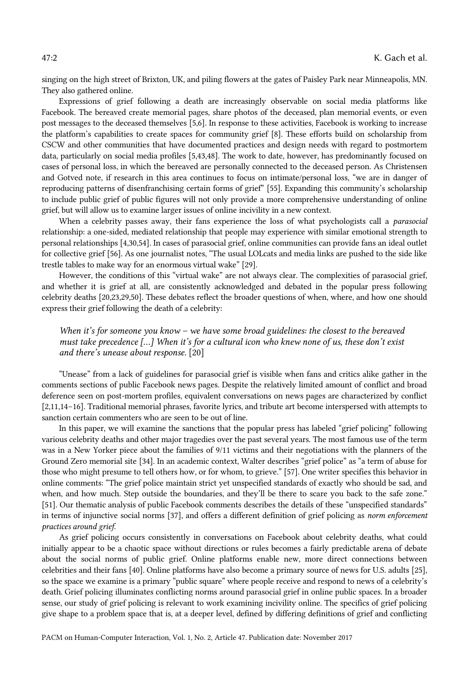singing on the high street of Brixton, UK, and piling flowers at the gates of Paisley Park near Minneapolis, MN. They also gathered online.

Expressions of grief following a death are increasingly observable on social media platforms like Facebook. The bereaved create memorial pages, share photos of the deceased, plan memorial events, or even post messages to the deceased themselves [5,6]. In response to these activities, Facebook is working to increase the platform's capabilities to create spaces for community grief [8]. These efforts build on scholarship from CSCW and other communities that have documented practices and design needs with regard to postmortem data, particularly on social media profiles [5,43,48]. The work to date, however, has predominantly focused on cases of personal loss, in which the bereaved are personally connected to the deceased person. As Christensen and Gotved note, if research in this area continues to focus on intimate/personal loss, "we are in danger of reproducing patterns of disenfranchising certain forms of grief" [55]. Expanding this community's scholarship to include public grief of public figures will not only provide a more comprehensive understanding of online grief, but will allow us to examine larger issues of online incivility in a new context.

When a celebrity passes away, their fans experience the loss of what psychologists call a *parasocial* relationship: a one-sided, mediated relationship that people may experience with similar emotional strength to personal relationships [4,30,54]. In cases of parasocial grief, online communities can provide fans an ideal outlet for collective grief [56]. As one journalist notes, "The usual LOLcats and media links are pushed to the side like trestle tables to make way for an enormous virtual wake" [29].

However, the conditions of this "virtual wake" are not always clear. The complexities of parasocial grief, and whether it is grief at all, are consistently acknowledged and debated in the popular press following celebrity deaths [20,23,29,50]. These debates reflect the broader questions of when, where, and how one should express their grief following the death of a celebrity:

*When it's for someone you know – we have some broad guidelines: the closest to the bereaved must take precedence […] When it's for a cultural icon who knew none of us, these don't exist and there's unease about response.* [20]

"Unease" from a lack of guidelines for parasocial grief is visible when fans and critics alike gather in the comments sections of public Facebook news pages. Despite the relatively limited amount of conflict and broad deference seen on post-mortem profiles, equivalent conversations on news pages are characterized by conflict [2,11,14–16]. Traditional memorial phrases, favorite lyrics, and tribute art become interspersed with attempts to sanction certain commenters who are seen to be out of line.

In this paper, we will examine the sanctions that the popular press has labeled "grief policing" following various celebrity deaths and other major tragedies over the past several years. The most famous use of the term was in a New Yorker piece about the families of 9/11 victims and their negotiations with the planners of the Ground Zero memorial site [34]. In an academic context, Walter describes "grief police" as "a term of abuse for those who might presume to tell others how, or for whom, to grieve." [57]. One writer specifies this behavior in online comments: "The grief police maintain strict yet unspecified standards of exactly who should be sad, and when, and how much. Step outside the boundaries, and they'll be there to scare you back to the safe zone." [51]. Our thematic analysis of public Facebook comments describes the details of these "unspecified standards" in terms of injunctive social norms [37], and offers a different definition of grief policing as *norm enforcement practices around grief*.

As grief policing occurs consistently in conversations on Facebook about celebrity deaths, what could initially appear to be a chaotic space without directions or rules becomes a fairly predictable arena of debate about the social norms of public grief. Online platforms enable new, more direct connections between celebrities and their fans [40]. Online platforms have also become a primary source of news for U.S. adults [25], so the space we examine is a primary "public square" where people receive and respond to news of a celebrity's death. Grief policing illuminates conflicting norms around parasocial grief in online public spaces. In a broader sense, our study of grief policing is relevant to work examining incivility online. The specifics of grief policing give shape to a problem space that is, at a deeper level, defined by differing definitions of grief and conflicting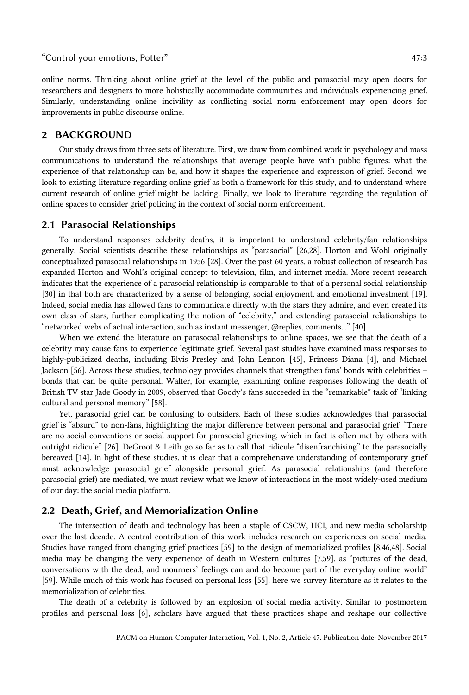online norms. Thinking about online grief at the level of the public and parasocial may open doors for researchers and designers to more holistically accommodate communities and individuals experiencing grief. Similarly, understanding online incivility as conflicting social norm enforcement may open doors for improvements in public discourse online.

# **2 BACKGROUND**

Our study draws from three sets of literature. First, we draw from combined work in psychology and mass communications to understand the relationships that average people have with public figures: what the experience of that relationship can be, and how it shapes the experience and expression of grief. Second, we look to existing literature regarding online grief as both a framework for this study, and to understand where current research of online grief might be lacking. Finally, we look to literature regarding the regulation of online spaces to consider grief policing in the context of social norm enforcement.

# **2.1 Parasocial Relationships**

To understand responses celebrity deaths, it is important to understand celebrity/fan relationships generally. Social scientists describe these relationships as "parasocial" [26,28]. Horton and Wohl originally conceptualized parasocial relationships in 1956 [28]. Over the past 60 years, a robust collection of research has expanded Horton and Wohl's original concept to television, film, and internet media. More recent research indicates that the experience of a parasocial relationship is comparable to that of a personal social relationship [30] in that both are characterized by a sense of belonging, social enjoyment, and emotional investment [19]. Indeed, social media has allowed fans to communicate directly with the stars they admire, and even created its own class of stars, further complicating the notion of "celebrity," and extending parasocial relationships to "networked webs of actual interaction, such as instant messenger, @replies, comments..." [40].

When we extend the literature on parasocial relationships to online spaces, we see that the death of a celebrity may cause fans to experience legitimate grief. Several past studies have examined mass responses to highly-publicized deaths, including Elvis Presley and John Lennon [45], Princess Diana [4], and Michael Jackson [56]. Across these studies, technology provides channels that strengthen fans' bonds with celebrities – bonds that can be quite personal. Walter, for example, examining online responses following the death of British TV star Jade Goody in 2009, observed that Goody's fans succeeded in the "remarkable" task of "linking cultural and personal memory" [58].

Yet, parasocial grief can be confusing to outsiders. Each of these studies acknowledges that parasocial grief is "absurd" to non-fans, highlighting the major difference between personal and parasocial grief: "There are no social conventions or social support for parasocial grieving, which in fact is often met by others with outright ridicule" [26]. DeGroot & Leith go so far as to call that ridicule "disenfranchising" to the parasocially bereaved [14]. In light of these studies, it is clear that a comprehensive understanding of contemporary grief must acknowledge parasocial grief alongside personal grief. As parasocial relationships (and therefore parasocial grief) are mediated, we must review what we know of interactions in the most widely-used medium of our day: the social media platform.

# **2.2 Death, Grief, and Memorialization Online**

The intersection of death and technology has been a staple of CSCW, HCI, and new media scholarship over the last decade. A central contribution of this work includes research on experiences on social media. Studies have ranged from changing grief practices [59] to the design of memorialized profiles [8,46,48]. Social media may be changing the very experience of death in Western cultures [7,59], as "pictures of the dead, conversations with the dead, and mourners' feelings can and do become part of the everyday online world" [59]. While much of this work has focused on personal loss [55], here we survey literature as it relates to the memorialization of celebrities.

The death of a celebrity is followed by an explosion of social media activity. Similar to postmortem profiles and personal loss [6], scholars have argued that these practices shape and reshape our collective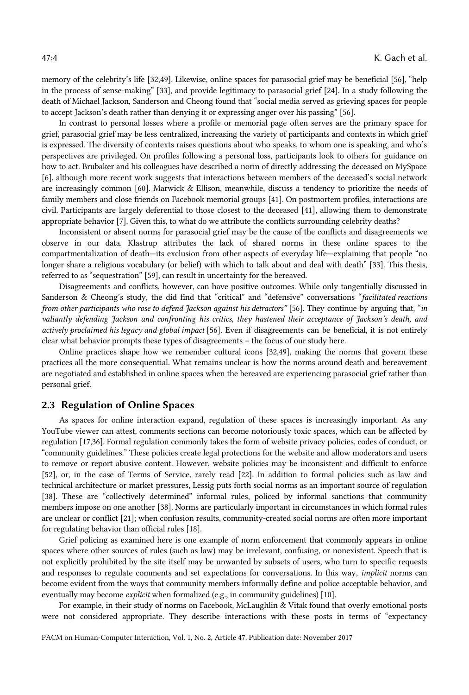memory of the celebrity's life [32,49]. Likewise, online spaces for parasocial grief may be beneficial [56], "help in the process of sense-making" [33], and provide legitimacy to parasocial grief [24]. In a study following the death of Michael Jackson, Sanderson and Cheong found that "social media served as grieving spaces for people to accept Jackson's death rather than denying it or expressing anger over his passing" [56].

In contrast to personal losses where a profile or memorial page often serves are the primary space for grief, parasocial grief may be less centralized, increasing the variety of participants and contexts in which grief is expressed. The diversity of contexts raises questions about who speaks, to whom one is speaking, and who's perspectives are privileged. On profiles following a personal loss, participants look to others for guidance on how to act. Brubaker and his colleagues have described a norm of directly addressing the deceased on MySpace [6], although more recent work suggests that interactions between members of the deceased's social network are increasingly common [60]. Marwick & Ellison, meanwhile, discuss a tendency to prioritize the needs of family members and close friends on Facebook memorial groups [41]. On postmortem profiles, interactions are civil. Participants are largely deferential to those closest to the deceased [41], allowing them to demonstrate appropriate behavior [7]. Given this, to what do we attribute the conflicts surrounding celebrity deaths?

Inconsistent or absent norms for parasocial grief may be the cause of the conflicts and disagreements we observe in our data. Klastrup attributes the lack of shared norms in these online spaces to the compartmentalization of death—its exclusion from other aspects of everyday life—explaining that people "no longer share a religious vocabulary (or belief) with which to talk about and deal with death" [33]. This thesis, referred to as "sequestration" [59], can result in uncertainty for the bereaved.

Disagreements and conflicts, however, can have positive outcomes. While only tangentially discussed in Sanderson & Cheong's study, the did find that "critical" and "defensive" conversations "*facilitated reactions from other participants who rose to defend Jackson against his detractors"* [56]. They continue by arguing that, "*in valiantly defending Jackson and confronting his critics, they hastened their acceptance of Jackson's death, and actively proclaimed his legacy and global impact* [56]. Even if disagreements can be beneficial, it is not entirely clear what behavior prompts these types of disagreements – the focus of our study here.

Online practices shape how we remember cultural icons [32,49], making the norms that govern these practices all the more consequential. What remains unclear is how the norms around death and bereavement are negotiated and established in online spaces when the bereaved are experiencing parasocial grief rather than personal grief.

# **2.3 Regulation of Online Spaces**

As spaces for online interaction expand, regulation of these spaces is increasingly important. As any YouTube viewer can attest, comments sections can become notoriously toxic spaces, which can be affected by regulation [17,36]. Formal regulation commonly takes the form of website privacy policies, codes of conduct, or "community guidelines." These policies create legal protections for the website and allow moderators and users to remove or report abusive content. However, website policies may be inconsistent and difficult to enforce [52], or, in the case of Terms of Service, rarely read [22]. In addition to formal policies such as law and technical architecture or market pressures, Lessig puts forth social norms as an important source of regulation [38]. These are "collectively determined" informal rules, policed by informal sanctions that community members impose on one another [38]. Norms are particularly important in circumstances in which formal rules are unclear or conflict [21]; when confusion results, community-created social norms are often more important for regulating behavior than official rules [18].

Grief policing as examined here is one example of norm enforcement that commonly appears in online spaces where other sources of rules (such as law) may be irrelevant, confusing, or nonexistent. Speech that is not explicitly prohibited by the site itself may be unwanted by subsets of users, who turn to specific requests and responses to regulate comments and set expectations for conversations. In this way, *implicit* norms can become evident from the ways that community members informally define and police acceptable behavior, and eventually may become *explicit* when formalized (e.g., in community guidelines) [10].

For example, in their study of norms on Facebook, McLaughlin & Vitak found that overly emotional posts were not considered appropriate. They describe interactions with these posts in terms of "expectancy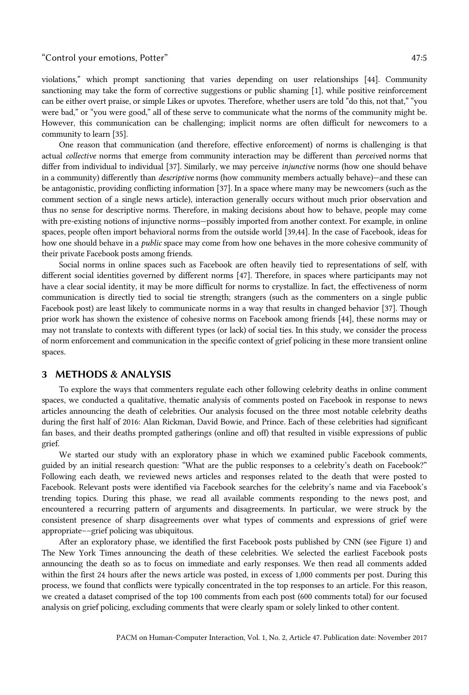violations," which prompt sanctioning that varies depending on user relationships [44]. Community sanctioning may take the form of corrective suggestions or public shaming [1], while positive reinforcement can be either overt praise, or simple Likes or upvotes. Therefore, whether users are told "do this, not that," "you were bad," or "you were good," all of these serve to communicate what the norms of the community might be. However, this communication can be challenging; implicit norms are often difficult for newcomers to a community to learn [35].

One reason that communication (and therefore, effective enforcement) of norms is challenging is that actual *collective* norms that emerge from community interaction may be different than *perceive*d norms that differ from individual to individual [37]. Similarly, we may perceive *injunctive* norms (how one should behave in a community) differently than *descriptive* norms (how community members actually behave)—and these can be antagonistic, providing conflicting information [37]. In a space where many may be newcomers (such as the comment section of a single news article), interaction generally occurs without much prior observation and thus no sense for descriptive norms. Therefore, in making decisions about how to behave, people may come with pre-existing notions of injunctive norms—possibly imported from another context. For example, in online spaces, people often import behavioral norms from the outside world [39,44]. In the case of Facebook, ideas for how one should behave in a *public* space may come from how one behaves in the more cohesive community of their private Facebook posts among friends.

Social norms in online spaces such as Facebook are often heavily tied to representations of self, with different social identities governed by different norms [47]. Therefore, in spaces where participants may not have a clear social identity, it may be more difficult for norms to crystallize. In fact, the effectiveness of norm communication is directly tied to social tie strength; strangers (such as the commenters on a single public Facebook post) are least likely to communicate norms in a way that results in changed behavior [37]. Though prior work has shown the existence of cohesive norms on Facebook among friends [44], these norms may or may not translate to contexts with different types (or lack) of social ties. In this study, we consider the process of norm enforcement and communication in the specific context of grief policing in these more transient online spaces.

# **3 METHODS & ANALYSIS**

To explore the ways that commenters regulate each other following celebrity deaths in online comment spaces, we conducted a qualitative, thematic analysis of comments posted on Facebook in response to news articles announcing the death of celebrities. Our analysis focused on the three most notable celebrity deaths during the first half of 2016: Alan Rickman, David Bowie, and Prince. Each of these celebrities had significant fan bases, and their deaths prompted gatherings (online and off) that resulted in visible expressions of public grief.

We started our study with an exploratory phase in which we examined public Facebook comments, guided by an initial research question: "What are the public responses to a celebrity's death on Facebook?" Following each death, we reviewed news articles and responses related to the death that were posted to Facebook. Relevant posts were identified via Facebook searches for the celebrity's name and via Facebook's trending topics. During this phase, we read all available comments responding to the news post, and encountered a recurring pattern of arguments and disagreements. In particular, we were struck by the consistent presence of sharp disagreements over what types of comments and expressions of grief were appropriate––grief policing was ubiquitous.

After an exploratory phase, we identified the first Facebook posts published by CNN (see Figure 1) and The New York Times announcing the death of these celebrities. We selected the earliest Facebook posts announcing the death so as to focus on immediate and early responses. We then read all comments added within the first 24 hours after the news article was posted, in excess of 1,000 comments per post. During this process, we found that conflicts were typically concentrated in the top responses to an article. For this reason, we created a dataset comprised of the top 100 comments from each post (600 comments total) for our focused analysis on grief policing, excluding comments that were clearly spam or solely linked to other content.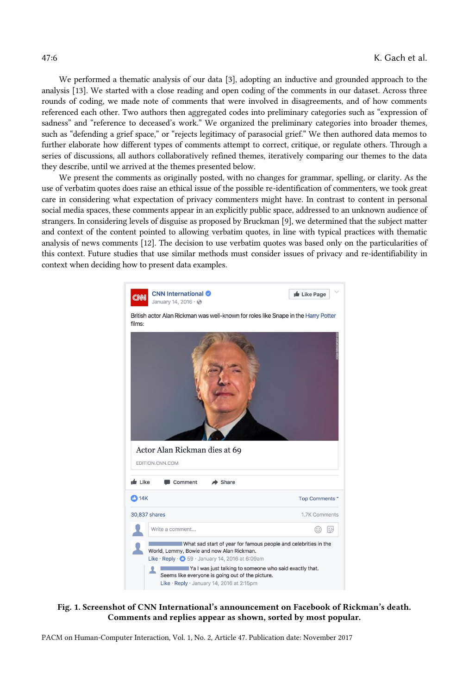We performed a thematic analysis of our data [3], adopting an inductive and grounded approach to the analysis [13]. We started with a close reading and open coding of the comments in our dataset. Across three rounds of coding, we made note of comments that were involved in disagreements, and of how comments referenced each other. Two authors then aggregated codes into preliminary categories such as "expression of sadness" and "reference to deceased's work." We organized the preliminary categories into broader themes, such as "defending a grief space," or "rejects legitimacy of parasocial grief." We then authored data memos to further elaborate how different types of comments attempt to correct, critique, or regulate others. Through a series of discussions, all authors collaboratively refined themes, iteratively comparing our themes to the data they describe, until we arrived at the themes presented below.

We present the comments as originally posted, with no changes for grammar, spelling, or clarity. As the use of verbatim quotes does raise an ethical issue of the possible re-identification of commenters, we took great care in considering what expectation of privacy commenters might have. In contrast to content in personal social media spaces, these comments appear in an explicitly public space, addressed to an unknown audience of strangers. In considering levels of disguise as proposed by Bruckman [9], we determined that the subject matter and context of the content pointed to allowing verbatim quotes, in line with typical practices with thematic analysis of news comments [12]. The decision to use verbatim quotes was based only on the particularities of this context. Future studies that use similar methods must consider issues of privacy and re-identifiability in context when deciding how to present data examples.



## **Fig. 1. Screenshot of CNN International's announcement on Facebook of Rickman's death. Comments and replies appear as shown, sorted by most popular.**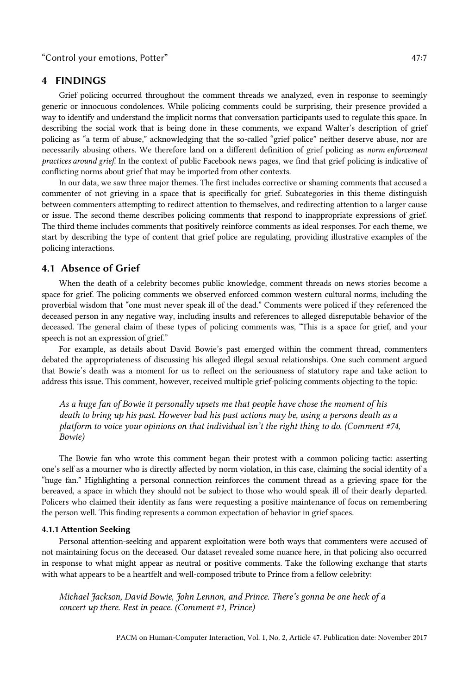# **4 FINDINGS**

Grief policing occurred throughout the comment threads we analyzed, even in response to seemingly generic or innocuous condolences. While policing comments could be surprising, their presence provided a way to identify and understand the implicit norms that conversation participants used to regulate this space. In describing the social work that is being done in these comments, we expand Walter's description of grief policing as "a term of abuse," acknowledging that the so-called "grief police" neither deserve abuse, nor are necessarily abusing others. We therefore land on a different definition of grief policing as *norm enforcement practices around grief*. In the context of public Facebook news pages, we find that grief policing is indicative of conflicting norms about grief that may be imported from other contexts.

In our data, we saw three major themes. The first includes corrective or shaming comments that accused a commenter of not grieving in a space that is specifically for grief. Subcategories in this theme distinguish between commenters attempting to redirect attention to themselves, and redirecting attention to a larger cause or issue. The second theme describes policing comments that respond to inappropriate expressions of grief. The third theme includes comments that positively reinforce comments as ideal responses. For each theme, we start by describing the type of content that grief police are regulating, providing illustrative examples of the policing interactions.

# **4.1 Absence of Grief**

When the death of a celebrity becomes public knowledge, comment threads on news stories become a space for grief. The policing comments we observed enforced common western cultural norms, including the proverbial wisdom that "one must never speak ill of the dead." Comments were policed if they referenced the deceased person in any negative way, including insults and references to alleged disreputable behavior of the deceased. The general claim of these types of policing comments was, "This is a space for grief, and your speech is not an expression of grief."

For example, as details about David Bowie's past emerged within the comment thread, commenters debated the appropriateness of discussing his alleged illegal sexual relationships. One such comment argued that Bowie's death was a moment for us to reflect on the seriousness of statutory rape and take action to address this issue. This comment, however, received multiple grief-policing comments objecting to the topic:

*As a huge fan of Bowie it personally upsets me that people have chose the moment of his death to bring up his past. However bad his past actions may be, using a persons death as a platform to voice your opinions on that individual isn't the right thing to do. (Comment #74, Bowie)*

The Bowie fan who wrote this comment began their protest with a common policing tactic: asserting one's self as a mourner who is directly affected by norm violation, in this case, claiming the social identity of a "huge fan." Highlighting a personal connection reinforces the comment thread as a grieving space for the bereaved, a space in which they should not be subject to those who would speak ill of their dearly departed. Policers who claimed their identity as fans were requesting a positive maintenance of focus on remembering the person well. This finding represents a common expectation of behavior in grief spaces.

#### **4.1.1 Attention Seeking**

Personal attention-seeking and apparent exploitation were both ways that commenters were accused of not maintaining focus on the deceased. Our dataset revealed some nuance here, in that policing also occurred in response to what might appear as neutral or positive comments. Take the following exchange that starts with what appears to be a heartfelt and well-composed tribute to Prince from a fellow celebrity:

*Michael Jackson, David Bowie, John Lennon, and Prince. There's gonna be one heck of a concert up there. Rest in peace. (Comment #1, Prince)*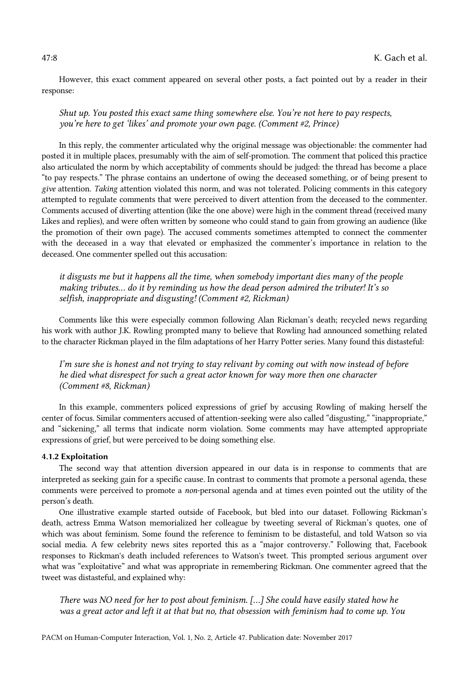However, this exact comment appeared on several other posts, a fact pointed out by a reader in their response:

*Shut up. You posted this exact same thing somewhere else. You're not here to pay respects, you're here to get 'likes' and promote your own page. (Comment #2, Prince)*

In this reply, the commenter articulated why the original message was objectionable: the commenter had posted it in multiple places, presumably with the aim of self-promotion. The comment that policed this practice also articulated the norm by which acceptability of comments should be judged: the thread has become a place "to pay respects." The phrase contains an undertone of owing the deceased something, or of being present to *give* attention. *Taking* attention violated this norm, and was not tolerated. Policing comments in this category attempted to regulate comments that were perceived to divert attention from the deceased to the commenter. Comments accused of diverting attention (like the one above) were high in the comment thread (received many Likes and replies), and were often written by someone who could stand to gain from growing an audience (like the promotion of their own page). The accused comments sometimes attempted to connect the commenter with the deceased in a way that elevated or emphasized the commenter's importance in relation to the deceased. One commenter spelled out this accusation:

*it disgusts me but it happens all the time, when somebody important dies many of the people making tributes… do it by reminding us how the dead person admired the tributer! It's so selfish, inappropriate and disgusting! (Comment #2, Rickman)*

Comments like this were especially common following Alan Rickman's death; recycled news regarding his work with author J.K. Rowling prompted many to believe that Rowling had announced something related to the character Rickman played in the film adaptations of her Harry Potter series. Many found this distasteful:

*I'm sure she is honest and not trying to stay relivant by coming out with now instead of before he died what disrespect for such a great actor known for way more then one character (Comment #8, Rickman)*

In this example, commenters policed expressions of grief by accusing Rowling of making herself the center of focus. Similar commenters accused of attention-seeking were also called "disgusting," "inappropriate," and "sickening," all terms that indicate norm violation. Some comments may have attempted appropriate expressions of grief, but were perceived to be doing something else.

#### **4.1.2 Exploitation**

The second way that attention diversion appeared in our data is in response to comments that are interpreted as seeking gain for a specific cause. In contrast to comments that promote a personal agenda, these comments were perceived to promote a *non*-personal agenda and at times even pointed out the utility of the person's death.

One illustrative example started outside of Facebook, but bled into our dataset. Following Rickman's death, actress Emma Watson memorialized her colleague by tweeting several of Rickman's quotes, one of which was about feminism. Some found the reference to feminism to be distasteful, and told Watson so via social media. A few celebrity news sites reported this as a "major controversy." Following that, Facebook responses to Rickman's death included references to Watson's tweet. This prompted serious argument over what was "exploitative" and what was appropriate in remembering Rickman. One commenter agreed that the tweet was distasteful, and explained why:

*There was NO need for her to post about feminism. […] She could have easily stated how he was a great actor and left it at that but no, that obsession with feminism had to come up. You*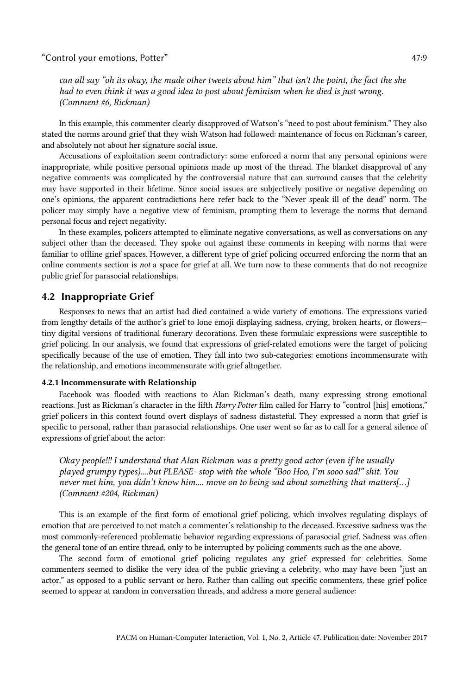*can all say "oh its okay, the made other tweets about him" that isn't the point, the fact the she had to even think it was a good idea to post about feminism when he died is just wrong. (Comment #6, Rickman)*

In this example, this commenter clearly disapproved of Watson's "need to post about feminism." They also stated the norms around grief that they wish Watson had followed: maintenance of focus on Rickman's career, and absolutely not about her signature social issue.

Accusations of exploitation seem contradictory: some enforced a norm that any personal opinions were inappropriate, while positive personal opinions made up most of the thread. The blanket disapproval of any negative comments was complicated by the controversial nature that can surround causes that the celebrity may have supported in their lifetime. Since social issues are subjectively positive or negative depending on one's opinions, the apparent contradictions here refer back to the "Never speak ill of the dead" norm. The policer may simply have a negative view of feminism, prompting them to leverage the norms that demand personal focus and reject negativity.

In these examples, policers attempted to eliminate negative conversations, as well as conversations on any subject other than the deceased. They spoke out against these comments in keeping with norms that were familiar to offline grief spaces. However, a different type of grief policing occurred enforcing the norm that an online comments section is *not* a space for grief at all. We turn now to these comments that do not recognize public grief for parasocial relationships.

### **4.2 Inappropriate Grief**

Responses to news that an artist had died contained a wide variety of emotions. The expressions varied from lengthy details of the author's grief to lone emoji displaying sadness, crying, broken hearts, or flowers tiny digital versions of traditional funerary decorations. Even these formulaic expressions were susceptible to grief policing. In our analysis, we found that expressions of grief-related emotions were the target of policing specifically because of the use of emotion. They fall into two sub-categories: emotions incommensurate with the relationship, and emotions incommensurate with grief altogether.

#### **4.2.1 Incommensurate with Relationship**

Facebook was flooded with reactions to Alan Rickman's death, many expressing strong emotional reactions. Just as Rickman's character in the fifth *Harry Potter* film called for Harry to "control [his] emotions," grief policers in this context found overt displays of sadness distasteful. They expressed a norm that grief is specific to personal, rather than parasocial relationships. One user went so far as to call for a general silence of expressions of grief about the actor:

*Okay people!!! I understand that Alan Rickman was a pretty good actor (even if he usually played grumpy types)....but PLEASE- stop with the whole "Boo Hoo, I'm sooo sad!" shit. You never met him, you didn't know him.... move on to being sad about something that matters[…] (Comment #204, Rickman)*

This is an example of the first form of emotional grief policing, which involves regulating displays of emotion that are perceived to not match a commenter's relationship to the deceased. Excessive sadness was the most commonly-referenced problematic behavior regarding expressions of parasocial grief. Sadness was often the general tone of an entire thread, only to be interrupted by policing comments such as the one above.

The second form of emotional grief policing regulates any grief expressed for celebrities. Some commenters seemed to dislike the very idea of the public grieving a celebrity, who may have been "just an actor," as opposed to a public servant or hero. Rather than calling out specific commenters, these grief police seemed to appear at random in conversation threads, and address a more general audience: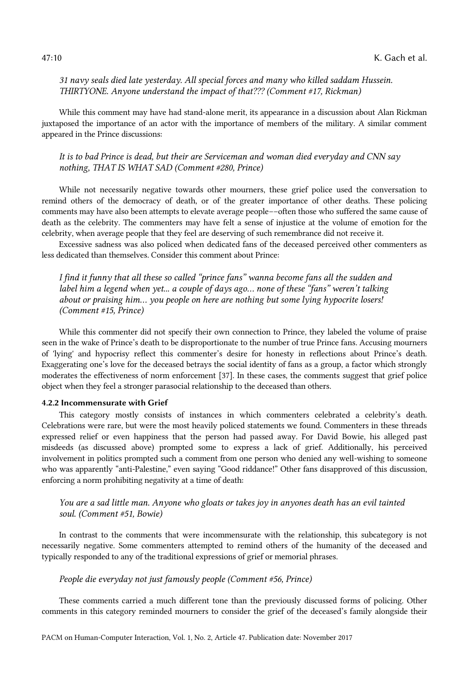*31 navy seals died late yesterday. All special forces and many who killed saddam Hussein. THIRTYONE. Anyone understand the impact of that??? (Comment #17, Rickman)*

While this comment may have had stand-alone merit, its appearance in a discussion about Alan Rickman juxtaposed the importance of an actor with the importance of members of the military. A similar comment appeared in the Prince discussions:

*It is to bad Prince is dead, but their are Serviceman and woman died everyday and CNN say nothing, THAT IS WHAT SAD (Comment #280, Prince)*

While not necessarily negative towards other mourners, these grief police used the conversation to remind others of the democracy of death, or of the greater importance of other deaths. These policing comments may have also been attempts to elevate average people––often those who suffered the same cause of death as the celebrity. The commenters may have felt a sense of injustice at the volume of emotion for the celebrity, when average people that they feel are deserving of such remembrance did not receive it.

Excessive sadness was also policed when dedicated fans of the deceased perceived other commenters as less dedicated than themselves. Consider this comment about Prince:

*I find it funny that all these so called "prince fans" wanna become fans all the sudden and label him a legend when yet... a couple of days ago… none of these "fans" weren't talking about or praising him… you people on here are nothing but some lying hypocrite losers! (Comment #15, Prince)*

While this commenter did not specify their own connection to Prince, they labeled the volume of praise seen in the wake of Prince's death to be disproportionate to the number of true Prince fans. Accusing mourners of 'lying' and hypocrisy reflect this commenter's desire for honesty in reflections about Prince's death. Exaggerating one's love for the deceased betrays the social identity of fans as a group, a factor which strongly moderates the effectiveness of norm enforcement [37]. In these cases, the comments suggest that grief police object when they feel a stronger parasocial relationship to the deceased than others.

#### **4.2.2 Incommensurate with Grief**

This category mostly consists of instances in which commenters celebrated a celebrity's death. Celebrations were rare, but were the most heavily policed statements we found. Commenters in these threads expressed relief or even happiness that the person had passed away. For David Bowie, his alleged past misdeeds (as discussed above) prompted some to express a lack of grief. Additionally, his perceived involvement in politics prompted such a comment from one person who denied any well-wishing to someone who was apparently "anti-Palestine," even saying "Good riddance!" Other fans disapproved of this discussion, enforcing a norm prohibiting negativity at a time of death:

*You are a sad little man. Anyone who gloats or takes joy in anyones death has an evil tainted soul. (Comment #51, Bowie)*

In contrast to the comments that were incommensurate with the relationship, this subcategory is not necessarily negative. Some commenters attempted to remind others of the humanity of the deceased and typically responded to any of the traditional expressions of grief or memorial phrases.

#### *People die everyday not just famously people (Comment #56, Prince)*

These comments carried a much different tone than the previously discussed forms of policing. Other comments in this category reminded mourners to consider the grief of the deceased's family alongside their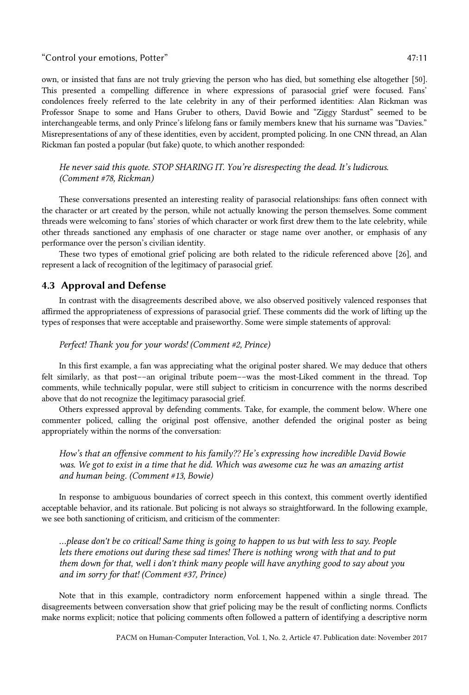own, or insisted that fans are not truly grieving the person who has died, but something else altogether [50]. This presented a compelling difference in where expressions of parasocial grief were focused. Fans' condolences freely referred to the late celebrity in any of their performed identities: Alan Rickman was Professor Snape to some and Hans Gruber to others, David Bowie and "Ziggy Stardust" seemed to be interchangeable terms, and only Prince's lifelong fans or family members knew that his surname was "Davies." Misrepresentations of any of these identities, even by accident, prompted policing. In one CNN thread, an Alan Rickman fan posted a popular (but fake) quote, to which another responded:

*He never said this quote. STOP SHARING IT. You're disrespecting the dead. It's ludicrous. (Comment #78, Rickman)*

These conversations presented an interesting reality of parasocial relationships: fans often connect with the character or art created by the person, while not actually knowing the person themselves. Some comment threads were welcoming to fans' stories of which character or work first drew them to the late celebrity, while other threads sanctioned any emphasis of one character or stage name over another, or emphasis of any performance over the person's civilian identity.

These two types of emotional grief policing are both related to the ridicule referenced above [26], and represent a lack of recognition of the legitimacy of parasocial grief.

# **4.3 Approval and Defense**

In contrast with the disagreements described above, we also observed positively valenced responses that affirmed the appropriateness of expressions of parasocial grief. These comments did the work of lifting up the types of responses that were acceptable and praiseworthy. Some were simple statements of approval:

#### *Perfect! Thank you for your words! (Comment #2, Prince)*

In this first example, a fan was appreciating what the original poster shared. We may deduce that others felt similarly, as that post––an original tribute poem––was the most-Liked comment in the thread. Top comments, while technically popular, were still subject to criticism in concurrence with the norms described above that do not recognize the legitimacy parasocial grief.

Others expressed approval by defending comments. Take, for example, the comment below. Where one commenter policed, calling the original post offensive, another defended the original poster as being appropriately within the norms of the conversation:

*How's that an offensive comment to his family?? He's expressing how incredible David Bowie was. We got to exist in a time that he did. Which was awesome cuz he was an amazing artist and human being. (Comment #13, Bowie)*

In response to ambiguous boundaries of correct speech in this context, this comment overtly identified acceptable behavior, and its rationale. But policing is not always so straightforward. In the following example, we see both sanctioning of criticism, and criticism of the commenter:

*…please don't be co critical! Same thing is going to happen to us but with less to say. People*  lets there emotions out during these sad times! There is nothing wrong with that and to put *them down for that, well i don't think many people will have anything good to say about you and im sorry for that! (Comment #37, Prince)*

Note that in this example, contradictory norm enforcement happened within a single thread. The disagreements between conversation show that grief policing may be the result of conflicting norms. Conflicts make norms explicit; notice that policing comments often followed a pattern of identifying a descriptive norm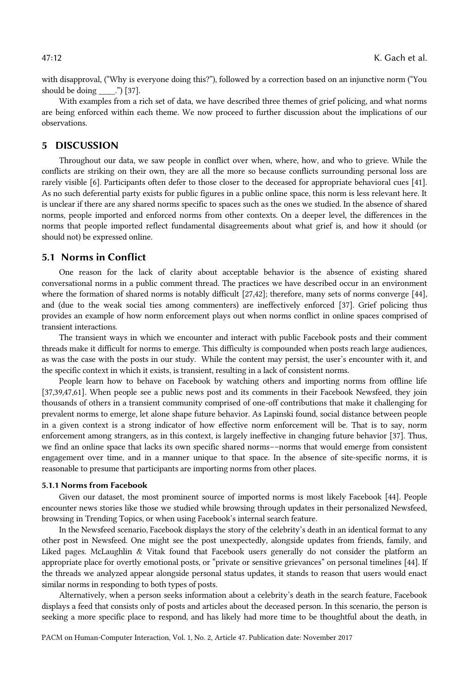with disapproval, ("Why is everyone doing this?"), followed by a correction based on an injunctive norm ("You should be doing \_\_\_\_.") [37].

With examples from a rich set of data, we have described three themes of grief policing, and what norms are being enforced within each theme. We now proceed to further discussion about the implications of our observations.

# **5 DISCUSSION**

Throughout our data, we saw people in conflict over when, where, how, and who to grieve. While the conflicts are striking on their own, they are all the more so because conflicts surrounding personal loss are rarely visible [6]. Participants often defer to those closer to the deceased for appropriate behavioral cues [41]. As no such deferential party exists for public figures in a public online space, this norm is less relevant here. It is unclear if there are any shared norms specific to spaces such as the ones we studied. In the absence of shared norms, people imported and enforced norms from other contexts. On a deeper level, the differences in the norms that people imported reflect fundamental disagreements about what grief is, and how it should (or should not) be expressed online.

# **5.1 Norms in Conflict**

One reason for the lack of clarity about acceptable behavior is the absence of existing shared conversational norms in a public comment thread. The practices we have described occur in an environment where the formation of shared norms is notably difficult [27,42]; therefore, many sets of norms converge [44], and (due to the weak social ties among commenters) are ineffectively enforced [37]. Grief policing thus provides an example of how norm enforcement plays out when norms conflict in online spaces comprised of transient interactions.

The transient ways in which we encounter and interact with public Facebook posts and their comment threads make it difficult for norms to emerge. This difficulty is compounded when posts reach large audiences, as was the case with the posts in our study. While the content may persist, the user's encounter with it, and the specific context in which it exists, is transient, resulting in a lack of consistent norms.

People learn how to behave on Facebook by watching others and importing norms from offline life [37,39,47,61]. When people see a public news post and its comments in their Facebook Newsfeed, they join thousands of others in a transient community comprised of one-off contributions that make it challenging for prevalent norms to emerge, let alone shape future behavior. As Lapinski found, social distance between people in a given context is a strong indicator of how effective norm enforcement will be. That is to say, norm enforcement among strangers, as in this context, is largely ineffective in changing future behavior [37]. Thus, we find an online space that lacks its own specific shared norms––norms that would emerge from consistent engagement over time, and in a manner unique to that space. In the absence of site-specific norms, it is reasonable to presume that participants are importing norms from other places.

#### **5.1.1 Norms from Facebook**

Given our dataset, the most prominent source of imported norms is most likely Facebook [44]. People encounter news stories like those we studied while browsing through updates in their personalized Newsfeed, browsing in Trending Topics, or when using Facebook's internal search feature.

In the Newsfeed scenario, Facebook displays the story of the celebrity's death in an identical format to any other post in Newsfeed. One might see the post unexpectedly, alongside updates from friends, family, and Liked pages. McLaughlin & Vitak found that Facebook users generally do not consider the platform an appropriate place for overtly emotional posts, or "private or sensitive grievances" on personal timelines [44]. If the threads we analyzed appear alongside personal status updates, it stands to reason that users would enact similar norms in responding to both types of posts.

Alternatively, when a person seeks information about a celebrity's death in the search feature, Facebook displays a feed that consists only of posts and articles about the deceased person. In this scenario, the person is seeking a more specific place to respond, and has likely had more time to be thoughtful about the death, in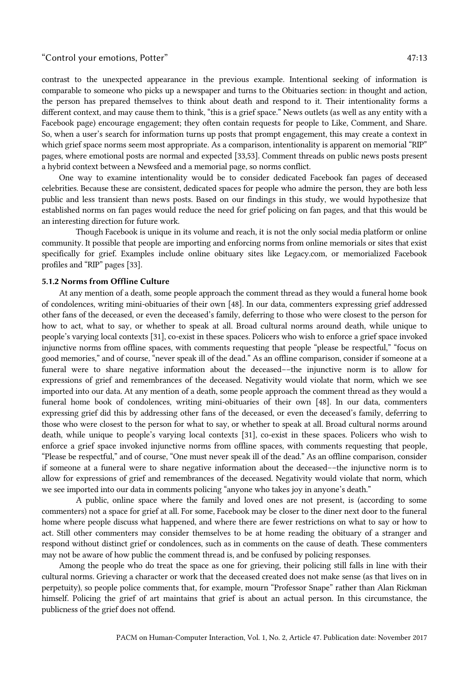contrast to the unexpected appearance in the previous example. Intentional seeking of information is comparable to someone who picks up a newspaper and turns to the Obituaries section: in thought and action, the person has prepared themselves to think about death and respond to it. Their intentionality forms a different context, and may cause them to think, "this is a grief space." News outlets (as well as any entity with a Facebook page) encourage engagement; they often contain requests for people to Like, Comment, and Share. So, when a user's search for information turns up posts that prompt engagement, this may create a context in which grief space norms seem most appropriate. As a comparison, intentionality is apparent on memorial "RIP" pages, where emotional posts are normal and expected [33,53]. Comment threads on public news posts present a hybrid context between a Newsfeed and a memorial page, so norms conflict.

One way to examine intentionality would be to consider dedicated Facebook fan pages of deceased celebrities. Because these are consistent, dedicated spaces for people who admire the person, they are both less public and less transient than news posts. Based on our findings in this study, we would hypothesize that established norms on fan pages would reduce the need for grief policing on fan pages, and that this would be an interesting direction for future work.

Though Facebook is unique in its volume and reach, it is not the only social media platform or online community. It possible that people are importing and enforcing norms from online memorials or sites that exist specifically for grief. Examples include online obituary sites like Legacy.com, or memorialized Facebook profiles and "RIP" pages [33].

#### **5.1.2 Norms from Offline Culture**

At any mention of a death, some people approach the comment thread as they would a funeral home book of condolences, writing mini-obituaries of their own [48]. In our data, commenters expressing grief addressed other fans of the deceased, or even the deceased's family, deferring to those who were closest to the person for how to act, what to say, or whether to speak at all. Broad cultural norms around death, while unique to people's varying local contexts [31], co-exist in these spaces. Policers who wish to enforce a grief space invoked injunctive norms from offline spaces, with comments requesting that people "please be respectful," "focus on good memories," and of course, "never speak ill of the dead." As an offline comparison, consider if someone at a funeral were to share negative information about the deceased––the injunctive norm is to allow for expressions of grief and remembrances of the deceased. Negativity would violate that norm, which we see imported into our data. At any mention of a death, some people approach the comment thread as they would a funeral home book of condolences, writing mini-obituaries of their own [48]. In our data, commenters expressing grief did this by addressing other fans of the deceased, or even the deceased's family, deferring to those who were closest to the person for what to say, or whether to speak at all. Broad cultural norms around death, while unique to people's varying local contexts [31], co-exist in these spaces. Policers who wish to enforce a grief space invoked injunctive norms from offline spaces, with comments requesting that people, "Please be respectful," and of course, "One must never speak ill of the dead." As an offline comparison, consider if someone at a funeral were to share negative information about the deceased––the injunctive norm is to allow for expressions of grief and remembrances of the deceased. Negativity would violate that norm, which we see imported into our data in comments policing "anyone who takes joy in anyone's death."

A public, online space where the family and loved ones are not present, is (according to some commenters) not a space for grief at all. For some, Facebook may be closer to the diner next door to the funeral home where people discuss what happened, and where there are fewer restrictions on what to say or how to act. Still other commenters may consider themselves to be at home reading the obituary of a stranger and respond without distinct grief or condolences, such as in comments on the cause of death. These commenters may not be aware of how public the comment thread is, and be confused by policing responses.

Among the people who do treat the space as one for grieving, their policing still falls in line with their cultural norms. Grieving a character or work that the deceased created does not make sense (as that lives on in perpetuity), so people police comments that, for example, mourn "Professor Snape" rather than Alan Rickman himself. Policing the grief of art maintains that grief is about an actual person. In this circumstance, the publicness of the grief does not offend.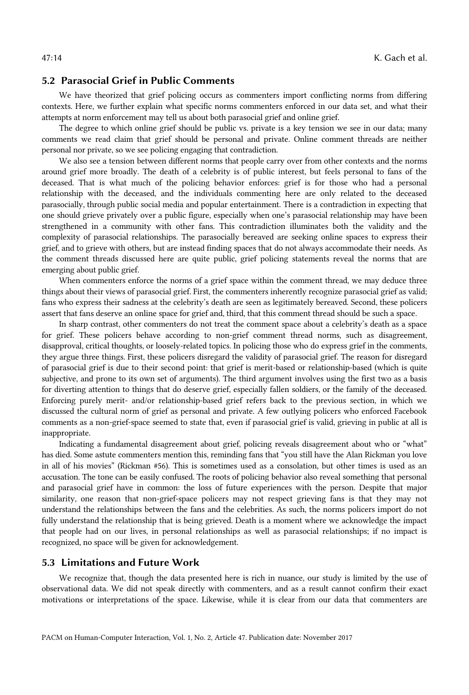# **5.2 Parasocial Grief in Public Comments**

We have theorized that grief policing occurs as commenters import conflicting norms from differing contexts. Here, we further explain what specific norms commenters enforced in our data set, and what their attempts at norm enforcement may tell us about both parasocial grief and online grief.

The degree to which online grief should be public vs. private is a key tension we see in our data; many comments we read claim that grief should be personal and private. Online comment threads are neither personal nor private, so we see policing engaging that contradiction.

We also see a tension between different norms that people carry over from other contexts and the norms around grief more broadly. The death of a celebrity is of public interest, but feels personal to fans of the deceased. That is what much of the policing behavior enforces: grief is for those who had a personal relationship with the deceased, and the individuals commenting here are only related to the deceased parasocially, through public social media and popular entertainment. There is a contradiction in expecting that one should grieve privately over a public figure, especially when one's parasocial relationship may have been strengthened in a community with other fans. This contradiction illuminates both the validity and the complexity of parasocial relationships. The parasocially bereaved are seeking online spaces to express their grief, and to grieve with others, but are instead finding spaces that do not always accommodate their needs. As the comment threads discussed here are quite public, grief policing statements reveal the norms that are emerging about public grief.

When commenters enforce the norms of a grief space within the comment thread, we may deduce three things about their views of parasocial grief. First, the commenters inherently recognize parasocial grief as valid; fans who express their sadness at the celebrity's death are seen as legitimately bereaved. Second, these policers assert that fans deserve an online space for grief and, third, that this comment thread should be such a space.

In sharp contrast, other commenters do not treat the comment space about a celebrity's death as a space for grief. These policers behave according to non-grief comment thread norms, such as disagreement, disapproval, critical thoughts, or loosely-related topics. In policing those who do express grief in the comments, they argue three things. First, these policers disregard the validity of parasocial grief. The reason for disregard of parasocial grief is due to their second point: that grief is merit-based or relationship-based (which is quite subjective, and prone to its own set of arguments). The third argument involves using the first two as a basis for diverting attention to things that do deserve grief, especially fallen soldiers, or the family of the deceased. Enforcing purely merit- and/or relationship-based grief refers back to the previous section, in which we discussed the cultural norm of grief as personal and private. A few outlying policers who enforced Facebook comments as a non-grief-space seemed to state that, even if parasocial grief is valid, grieving in public at all is inappropriate.

Indicating a fundamental disagreement about grief, policing reveals disagreement about who or "what" has died. Some astute commenters mention this, reminding fans that "you still have the Alan Rickman you love in all of his movies" (Rickman #56). This is sometimes used as a consolation, but other times is used as an accusation. The tone can be easily confused. The roots of policing behavior also reveal something that personal and parasocial grief have in common: the loss of future experiences with the person. Despite that major similarity, one reason that non-grief-space policers may not respect grieving fans is that they may not understand the relationships between the fans and the celebrities. As such, the norms policers import do not fully understand the relationship that is being grieved. Death is a moment where we acknowledge the impact that people had on our lives, in personal relationships as well as parasocial relationships; if no impact is recognized, no space will be given for acknowledgement.

# **5.3 Limitations and Future Work**

We recognize that, though the data presented here is rich in nuance, our study is limited by the use of observational data. We did not speak directly with commenters, and as a result cannot confirm their exact motivations or interpretations of the space. Likewise, while it is clear from our data that commenters are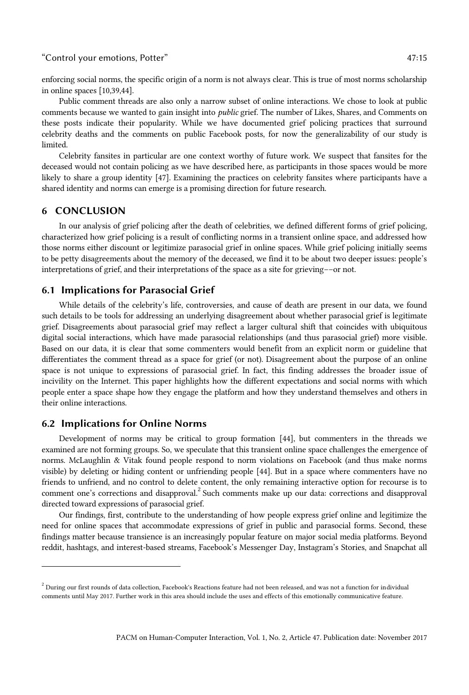enforcing social norms, the specific origin of a norm is not always clear. This is true of most norms scholarship in online spaces [10,39,44].

Public comment threads are also only a narrow subset of online interactions. We chose to look at public comments because we wanted to gain insight into *public* grief. The number of Likes, Shares, and Comments on these posts indicate their popularity. While we have documented grief policing practices that surround celebrity deaths and the comments on public Facebook posts, for now the generalizability of our study is limited.

Celebrity fansites in particular are one context worthy of future work. We suspect that fansites for the deceased would not contain policing as we have described here, as participants in those spaces would be more likely to share a group identity [47]. Examining the practices on celebrity fansites where participants have a shared identity and norms can emerge is a promising direction for future research.

# **6 CONCLUSION**

In our analysis of grief policing after the death of celebrities, we defined different forms of grief policing, characterized how grief policing is a result of conflicting norms in a transient online space, and addressed how those norms either discount or legitimize parasocial grief in online spaces. While grief policing initially seems to be petty disagreements about the memory of the deceased, we find it to be about two deeper issues: people's interpretations of grief, and their interpretations of the space as a site for grieving––or not.

# **6.1 Implications for Parasocial Grief**

While details of the celebrity's life, controversies, and cause of death are present in our data, we found such details to be tools for addressing an underlying disagreement about whether parasocial grief is legitimate grief. Disagreements about parasocial grief may reflect a larger cultural shift that coincides with ubiquitous digital social interactions, which have made parasocial relationships (and thus parasocial grief) more visible. Based on our data, it is clear that some commenters would benefit from an explicit norm or guideline that differentiates the comment thread as a space for grief (or not). Disagreement about the purpose of an online space is not unique to expressions of parasocial grief. In fact, this finding addresses the broader issue of incivility on the Internet. This paper highlights how the different expectations and social norms with which people enter a space shape how they engage the platform and how they understand themselves and others in their online interactions.

# **6.2 Implications for Online Norms**

 $\overline{\phantom{a}}$ 

Development of norms may be critical to group formation [44], but commenters in the threads we examined are not forming groups. So, we speculate that this transient online space challenges the emergence of norms. McLaughlin & Vitak found people respond to norm violations on Facebook (and thus make norms visible) by deleting or hiding content or unfriending people [44]. But in a space where commenters have no friends to unfriend, and no control to delete content, the only remaining interactive option for recourse is to comment one's corrections and disapproval.<sup>2</sup> Such comments make up our data: corrections and disapproval directed toward expressions of parasocial grief.

Our findings, first, contribute to the understanding of how people express grief online and legitimize the need for online spaces that accommodate expressions of grief in public and parasocial forms. Second, these findings matter because transience is an increasingly popular feature on major social media platforms. Beyond reddit, hashtags, and interest-based streams, Facebook's Messenger Day, Instagram's Stories, and Snapchat all

 $<sup>2</sup>$  During our first rounds of data collection, Facebook's Reactions feature had not been released, and was not a function for individual</sup> comments until May 2017. Further work in this area should include the uses and effects of this emotionally communicative feature.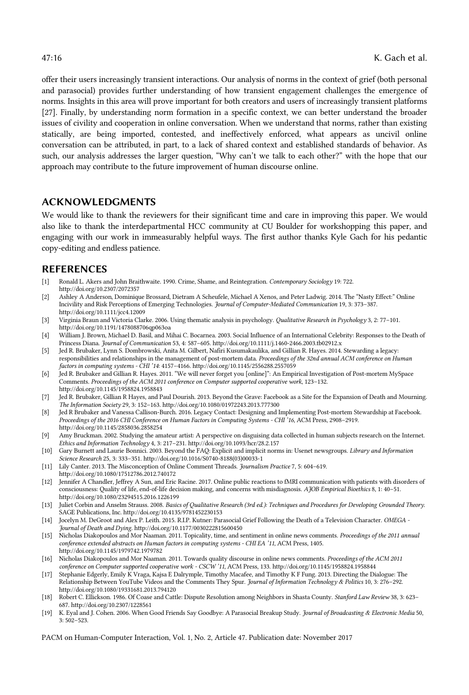offer their users increasingly transient interactions. Our analysis of norms in the context of grief (both personal and parasocial) provides further understanding of how transient engagement challenges the emergence of norms. Insights in this area will prove important for both creators and users of increasingly transient platforms [27]. Finally, by understanding norm formation in a specific context, we can better understand the broader issues of civility and cooperation in online conversation. When we understand that norms, rather than existing statically, are being imported, contested, and ineffectively enforced, what appears as uncivil online conversation can be attributed, in part, to a lack of shared context and established standards of behavior. As such, our analysis addresses the larger question, "Why can't we talk to each other?" with the hope that our approach may contribute to the future improvement of human discourse online.

# **ACKNOWLEDGMENTS**

We would like to thank the reviewers for their significant time and care in improving this paper. We would also like to thank the interdepartmental HCC community at CU Boulder for workshopping this paper, and engaging with our work in immeasurably helpful ways. The first author thanks Kyle Gach for his pedantic copy-editing and endless patience.

# **REFERENCES**

- [1] Ronald L. Akers and John Braithwaite. 1990. Crime, Shame, and Reintegration. *Contemporary Sociology* 19: 722. http://doi.org/10.2307/2072357
- [2] Ashley A Anderson, Dominique Brossard, Dietram A Scheufele, Michael A Xenos, and Peter Ladwig. 2014. The "Nasty Effect:" Online Incivility and Risk Perceptions of Emerging Technologies. *Journal of Computer-Mediated Communication* 19, 3: 373–387. http://doi.org/10.1111/jcc4.12009
- [3] Virginia Braun and Victoria Clarke. 2006. Using thematic analysis in psychology. *Qualitative Research in Psychology* 3, 2: 77–101. http://doi.org/10.1191/1478088706qp063oa
- [4] William J. Brown, Michael D. Basil, and Mihai C. Bocarnea. 2003. Social Influence of an International Celebrity: Responses to the Death of Princess Diana. *Journal of Communication* 53, 4: 587–605. http://doi.org/10.1111/j.1460-2466.2003.tb02912.x
- [5] Jed R. Brubaker, Lynn S. Dombrowski, Anita M. Gilbert, Nafiri Kusumakaulika, and Gillian R. Hayes. 2014. Stewarding a legacy: responsibilities and relationships in the management of post-mortem data. *Proceedings of the 32nd annual ACM conference on Human factors in computing systems - CHI '14*: 4157–4166. http://doi.org/10.1145/2556288.2557059
- [6] Jed R. Brubaker and Gillian R. Hayes. 2011. "We will never forget you [online]": An Empirical Investigation of Post-mortem MySpace Comments. *Proceedings of the ACM 2011 conference on Computer supported cooperative work*, 123–132. http://doi.org/10.1145/1958824.1958843
- [7] Jed R. Brubaker, Gillian R Hayes, and Paul Dourish. 2013. Beyond the Grave: Facebook as a Site for the Expansion of Death and Mourning. *The Information Society* 29, 3: 152–163. http://doi.org/10.1080/01972243.2013.777300
- [8] Jed R Brubaker and Vanessa Callison-Burch. 2016. Legacy Contact: Designing and Implementing Post-mortem Stewardship at Facebook. *Proceedings of the 2016 CHI Conference on Human Factors in Computing Systems - CHI '16*, ACM Press, 2908–2919. http://doi.org/10.1145/2858036.2858254
- [9] Amy Bruckman. 2002. Studying the amateur artist: A perspective on disguising data collected in human subjects research on the Internet. *Ethics and Information Technology* 4, 3: 217–231. http://doi.org/10.1093/hcr/28.2.157
- [10] Gary Burnett and Laurie Bonnici. 2003. Beyond the FAQ: Explicit and implicit norms in: Usenet newsgroups. *Library and Information Science Research* 25, 3: 333–351. http://doi.org/10.1016/S0740-8188(03)00033-1
- [11] Lily Canter. 2013. The Misconception of Online Comment Threads. *Journalism Practice* 7, 5: 604–619. http://doi.org/10.1080/17512786.2012.740172
- [12] Jennifer A Chandler, Jeffrey A Sun, and Eric Racine. 2017. Online public reactions to fMRI communication with patients with disorders of consciousness: Quality of life, end-of-life decision making, and concerns with misdiagnosis. *AJOB Empirical Bioethics* 8, 1: 40–51. http://doi.org/10.1080/23294515.2016.1226199
- [13] Juliet Corbin and Anselm Strauss. 2008. *Basics of Qualitative Research (3rd ed.): Techniques and Procedures for Developing Grounded Theory*. SAGE Publications, Inc. http://doi.org/10.4135/9781452230153
- [14] Jocelyn M. DeGroot and Alex P. Leith. 2015. R.I.P. Kutner: Parasocial Grief Following the Death of a Television Character. *OMEGA - Journal of Death and Dying*. http://doi.org/10.1177/0030222815600450
- [15] Nicholas Diakopoulos and Mor Naaman. 2011. Topicality, time, and sentiment in online news comments. *Proceedings of the 2011 annual conference extended abstracts on Human factors in computing systems - CHI EA '11*, ACM Press, 1405. http://doi.org/10.1145/1979742.1979782
- [16] Nicholas Diakopoulos and Mor Naaman. 2011. Towards quality discourse in online news comments. *Proceedings of the ACM 2011 conference on Computer supported cooperative work - CSCW '11*, ACM Press, 133. http://doi.org/10.1145/1958824.1958844
- [17] Stephanie Edgerly, Emily K Vraga, Kajsa E Dalrymple, Timothy Macafee, and Timothy K F Fung. 2013. Directing the Dialogue: The Relationship Between YouTube Videos and the Comments They Spur. *Journal of Information Technology & Politics* 10, 3: 276–292. http://doi.org/10.1080/19331681.2013.794120
- [18] Robert C. Ellickson. 1986. Of Coase and Cattle: Dispute Resolution among Neighbors in Shasta County. *Stanford Law Review* 38, 3: 623– 687. http://doi.org/10.2307/1228561
- [19] K. Eyal and J. Cohen. 2006. When Good Friends Say Goodbye: A Parasocial Breakup Study. *Journal of Broadcasting & Electronic Media* 50, 3: 502–523.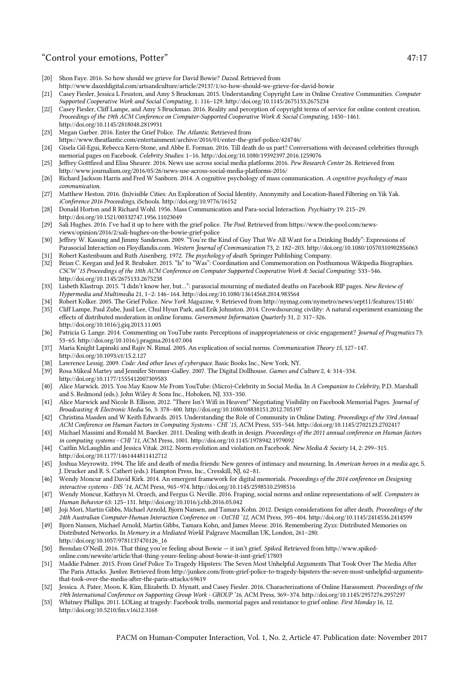- [20] Shon Faye. 2016. So how should we grieve for David Bowie? *Dazed*. Retrieved from http://www.dazeddigital.com/artsandculture/article/29137/1/so-how-should-we-grieve-for-david-bowie
- [21] Casey Fiesler, Jessica L Feuston, and Amy S Bruckman. 2015. Understanding Copyright Law in Online Creative Communities. *Computer Supported Cooperative Work and Social Computing*, 1: 116–129. http://doi.org/10.1145/2675133.2675234
- [22] Casey Fiesler, Cliff Lampe, and Amy S Bruckman. 2016. Reality and perception of copyright terms of service for online content creation. *Proceedings of the 19th ACM Conference on Computer-Supported Cooperative Work & Social Computing*, 1450–1461. http://doi.org/10.1145/2818048.2819931
- [23] Megan Garber. 2016. Enter the Grief Police. *The Atlantic*. Retrieved from
- https://www.theatlantic.com/entertainment/archive/2016/01/enter-the-grief-police/424746/
- [24] Gisela Gil-Egui, Rebecca Kern-Stone, and Abbe E. Forman. 2016. Till death do us part? Conversations with deceased celebrities through memorial pages on Facebook. *Celebrity Studies*: 1–16. http://doi.org/10.1080/19392397.2016.1259076
- [25] Jeffrey Gottfired and Elisa Shearer. 2016. News use across social media platforms 2016. *Pew Research Center* 26. Retrieved from http://www.journalism.org/2016/05/26/news-use-across-social-media-platforms-2016/
- [26] Richard Jackson Harris and Fred W Sanborn. 2014. A cognitive psychology of mass communication. *A cognitive psychology of mass communication.*
- [27] Matthew Heston. 2016. (In)visible Cities: An Exploration of Social Identity, Anonymity and Location-Based Filtering on Yik Yak. *iConference 2016 Proceedings*, iSchools. http://doi.org/10.9776/16152
- [28] Donald Horton and R Richard Wohl. 1956. Mass Communication and Para-social Interaction. *Psychiatry* 19: 215–29. http://doi.org/10.1521/00332747.1956.11023049
- [29] Sali Hughes. 2016. I've had it up to here with the grief police. *The Pool*. Retrieved from https://www.the-pool.com/newsviews/opinion/2016/2/sali-hughes-on-the-bowie-grief-police
- [30] Jeffrey W. Kassing and Jimmy Sanderson. 2009. "You're the Kind of Guy That We All Want for a Drinking Buddy": Expressions of Parasocial Interaction on Floydlandis.com. *Western Journal of Communication* 73, 2: 182–203. http://doi.org/10.1080/10570310902856063
- [31] Robert Kastenbaum and Ruth Aisenberg. 1972. *The psychology of death*. Springer Publishing Company. [32] Brian C. Keegan and Jed R. Brubaker. 2015. "Is" to "Was": Coordination and Commemoration on Posthumous Wikipedia Biographies. *CSCW '15 Proceedings of the 18th ACM Conference on Computer Supported Cooperative Work & Social Computing*: 533–546. http://doi.org/10.1145/2675133.2675238
- [33] Lisbeth Klastrup. 2015. "I didn't know her, but…": parasocial mourning of mediated deaths on Facebook RIP pages. *New Review of Hypermedia and Multimedia* 21, 1–2: 146–164. http://doi.org/10.1080/13614568.2014.983564
- [34] Robert Kolker. 2005. The Grief Police. *New York Magazine*, 9. Retrieved from http://nymag.com/nymetro/news/sept11/features/15140/ [35] Cliff Lampe, Paul Zube, Jusil Lee, Chul Hyun Park, and Erik Johnston. 2014. Crowdsourcing civility: A natural experiment examining the effects of distributed moderation in online forums. *Government Information Quarterly* 31, 2: 317–326. http://doi.org/10.1016/j.giq.2013.11.005
- [36] Patricia G. Lange. 2014. Commenting on YouTube rants: Perceptions of inappropriateness or civic engagement? *Journal of Pragmatics* 73: 53–65. http://doi.org/10.1016/j.pragma.2014.07.004
- [37] Maria Knight Lapinski and Rajiv N. Rimal. 2005. An explication of social norms. *Communication Theory 15*, 127–147. http://doi.org/10.1093/ct/15.2.127
- [38] Lawrence Lessig. 2009. *Code: And other laws of cyberspace*. Basic Books Inc., New York, NY.
- [39] Rosa Mikeal Martey and Jennifer Stromer-Galley. 2007. The Digital Dollhouse. *Games and Culture* 2, 4: 314–334. http://doi.org/10.1177/1555412007309583
- [40] Alice Marwick. 2015. You May Know Me From YouTube: (Micro)-Celebrity in Social Media. In *A Companion to Celebrity*, P.D. Marshall and S. Redmond (eds.). John Wiley & Sons Inc., Hoboken, NJ, 333–350.
- [41] Alice Marwick and Nicole B. Ellison. 2012. "There Isn't Wifi in Heaven!" Negotiating Visibility on Facebook Memorial Pages. *Journal of Broadcasting & Electronic Media* 56, 3: 378–400. http://doi.org/10.1080/08838151.2012.705197
- [42] Christina Masden and W Keith Edwards. 2015. Understanding the Role of Community in Online Dating. *Proceedings of the 33rd Annual ACM Conference on Human Factors in Computing Systems - CHI '15*, ACM Press, 535–544. http://doi.org/10.1145/2702123.2702417
- [43] Michael Massimi and Ronald M. Baecker. 2011. Dealing with death in design. *Proceedings of the 2011 annual conference on Human factors in computing systems - CHI '11*, ACM Press, 1001. http://doi.org/10.1145/1978942.1979092
- [44] Caitlin McLaughlin and Jessica Vitak. 2012. Norm evolution and violation on Facebook. *New Media & Society* 14, 2: 299–315. http://doi.org/10.1177/1461444811412712
- [45] Joshua Meyrowitz. 1994. The life and death of media friends: New genres of intimacy and mourning. In *American heroes in a media age*, S. J. Drucker and R. S. Cathert (eds.). Hampton Press, Inc., Cresskill, NJ, 62–81.
- [46] Wendy Moncur and David Kirk. 2014. An emergent framework for digital memorials. *Proceedings of the 2014 conference on Designing interactive systems - DIS '14*, ACM Press, 965–974. http://doi.org/10.1145/2598510.2598516
- [47] Wendy Moncur, Kathryn M. Orzech, and Fergus G. Neville. 2016. Fraping, social norms and online representations of self. *Computers in Human Behavior* 63: 125–131. http://doi.org/10.1016/j.chb.2016.05.042
- [48] Joji Mori, Martin Gibbs, Michael Arnold, Bjorn Nansen, and Tamara Kohn. 2012. Design considerations for after death. *Proceedings of the 24th Australian Computer-Human Interaction Conference on - OzCHI '12*, ACM Press, 395–404. http://doi.org/10.1145/2414536.2414599
- [49] Bjorn Nansen, Michael Arnold, Martin Gibbs, Tamara Kohn, and James Meese. 2016. Remembering Zyzz: Distributed Memories on Distributed Networks. In *Memory in a Mediated World*. Palgrave Macmillan UK, London, 261–280. http://doi.org/10.1057/9781137470126\_16
- [50] Brendan O'Neill. 2016. That thing you're feeling about Bowie it isn't grief. *Spiked*. Retrieved from http://www.spikedonline.com/newsite/article/that-thing-youre-feeling-about-bowie-it-isnt-grief/17803
- [51] Maddie Palmer. 2015. From Grief Police To Tragedy Hipsters: The Seven Most Unhelpful Arguments That Took Over The Media After The Paris Attacks. *Junkee*. Retrieved from http://junkee.com/from-grief-police-to-tragedy-hipsters-the-seven-most-unhelpful-argumentsthat-took-over-the-media-after-the-paris-attacks/69619
- [52] Jessica. A. Pater, Moon. K. Kim, Elizabeth. D. Mynatt, and Casey Fiesler. 2016. Characterizations of Online Harassment. *Proceedings of the 19th International Conference on Supporting Group Work - GROUP '16*, ACM Press, 369–374. http://doi.org/10.1145/2957276.2957297
- [53] Whitney Phillips. 2011. LOLing at tragedy: Facebook trolls, memorial pages and resistance to grief online. *First Monday* 16, 12. http://doi.org/10.5210/fm.v16i12.3168